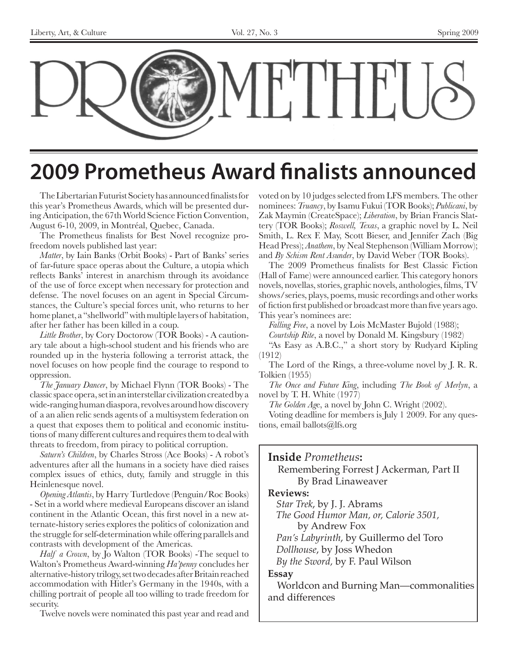

### **2009 Prometheus Award finalists announced**

The Libertarian Futurist Society has announced finalists for this year's Prometheus Awards, which will be presented during Anticipation, the 67th World Science Fiction Convention, August 6-10, 2009, in Montréal, Quebec, Canada.

The Prometheus finalists for Best Novel recognize profreedom novels published last year:

*Matter*, by Iain Banks (Orbit Books) - Part of Banks' series of far-future space operas about the Culture, a utopia which reflects Banks' interest in anarchism through its avoidance of the use of force except when necessary for protection and defense. The novel focuses on an agent in Special Circumstances, the Culture's special forces unit, who returns to her home planet, a "shellworld" with multiple layers of habitation, after her father has been killed in a coup.

*Little Brother*, by Cory Doctorow (TOR Books) - A cautionary tale about a high-school student and his friends who are rounded up in the hysteria following a terrorist attack, the novel focuses on how people find the courage to respond to oppression.

*The January Dancer*, by Michael Flynn (TOR Books) - The classic space opera, set in an interstellar civilization created by a wide-ranging human diaspora, revolves around how discovery of a an alien relic sends agents of a multisystem federation on a quest that exposes them to political and economic institutions of many different cultures and requires them to deal with threats to freedom, from piracy to political corruption.

*Saturn's Children*, by Charles Stross (Ace Books) - A robot's adventures after all the humans in a society have died raises complex issues of ethics, duty, family and struggle in this Heinlenesque novel.

*Opening Atlantis*, by Harry Turtledove (Penguin/Roc Books) - Set in a world where medieval Europeans discover an island continent in the Atlantic Ocean, this first novel in a new atternate-history series explores the politics of colonization and the struggle for self-determination while offering parallels and contrasts with development of the Americas.

*Half a Crown*, by Jo Walton (TOR Books) -The sequel to Walton's Prometheus Award-winning *Ha'penny* concludes her alternative-history trilogy, set two decades after Britain reached accommodation with Hitler's Germany in the 1940s, with a chilling portrait of people all too willing to trade freedom for security.

Twelve novels were nominated this past year and read and

voted on by 10 judges selected from LFS members. The other nominees: *Truancy*, by Isamu Fukui (TOR Books); *Publicani*, by Zak Maymin (CreateSpace); *Liberation*, by Brian Francis Slattery (TOR Books); *Roswell, Texas*, a graphic novel by L. Neil Smith, L. Rex F. May, Scott Bieser, and Jennifer Zach (Big Head Press); *Anathem*, by Neal Stephenson (William Morrow); and *By Schism Rent Asunder*, by David Weber (TOR Books).

The 2009 Prometheus finalists for Best Classic Fiction (Hall of Fame) were announced earlier. This category honors novels, novellas, stories, graphic novels, anthologies, films, TV shows/series, plays, poems, music recordings and other works of fiction first published or broadcast more than five years ago. This year's nominees are:

*Falling Free*, a novel by Lois McMaster Bujold (1988);

*Courtship Rite*, a novel by Donald M. Kingsbury (1982)

"As Easy as A.B.C.," a short story by Rudyard Kipling (1912)

The Lord of the Rings, a three-volume novel by J. R. R. Tolkien (1955)

*The Once and Future King*, including *The Book of Merlyn*, a novel by T. H. White (1977)

*The Golden Ag*e, a novel by John C. Wright (2002).

Voting deadline for members is July 1 2009. For any questions, email ballots@lfs.org

### **Inside** *Prometheus***:**

Remembering Forrest J Ackerman, Part II By Brad Linaweaver

### **Reviews:**

*Star Trek*, by J. J. Abrams *The Good Humor Man, or, Calorie 3501,*

by Andrew Fox

*Pan's Labyrinth*, by Guillermo del Toro

*Dollhouse*, by Joss Whedon

*By the Sword,* by F. Paul Wilson

### **Essay**

Worldcon and Burning Man—commonalities and differences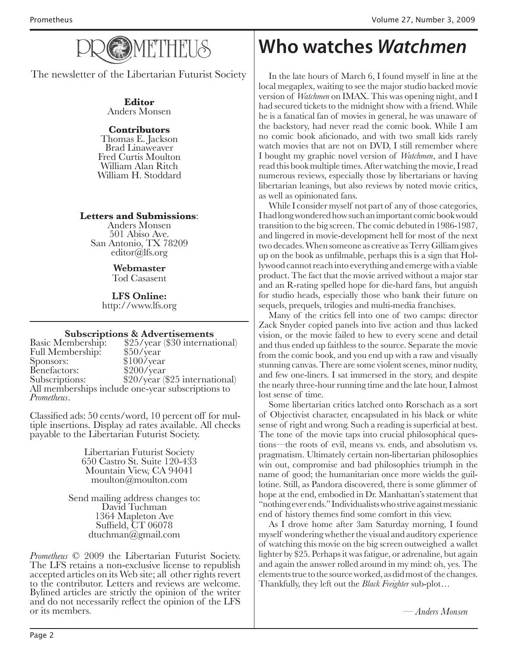

The newsletter of the Libertarian Futurist Society

**Editor** Anders Monsen

### **Contributors**

Thomas E. Jackson Brad Linaweaver Fred Curtis Moulton William Alan Ritch William H. Stoddard

### **Letters and Submissions**:

Anders Monsen 501 Abiso Ave. San Antonio, TX 78209 editor@lfs.org

### **Webmaster**

Tod Casasent

**LFS Online:** http://www.lfs.org

**Subscriptions & Advertisements**<br>Basic Membership: \$25/year (\$30 internat \$25/year (\$30 international) \$50/year Full Membership:<br>Sponsors:  $$100/\text{year}$ <br> $$200/\text{year}$ Benefactors:<br>Subscriptions: \$20/year (\$25 international) All memberships include one-year subscriptions to *Prometheus*.

Classified ads: 50 cents/word, 10 percent off for mul- tiple insertions. Display ad rates available. All checks payable to the Libertarian Futurist Society.

> Libertarian Futurist Society 650 Castro St. Suite 120-433 Mountain View, CA 94041 moulton@moulton.com

Send mailing address changes to: David Tuchman 1364 Mapleton Ave Suffield, CT 06078 dtuchman@gmail.com

*Prometheus* © 2009 the Libertarian Futurist Society.<br>The LFS retains a non-exclusive license to republish accepted articles on its Web site; all other rights revert to the contributor. Letters and reviews are welcome. Bylined articles are strictly the opinion of the writer and do not necessarily reflect the opinion of the LFS or its members. or its members. *— Anders Monsen*

### **Who watches Watchmen**

In the late hours of March 6, I found myself in line at the local megaplex, waiting to see the major studio backed movie version of *Watchmen* on IMAX. This was opening night, and I had secured tickets to the midnight show with a friend. While he is a fanatical fan of movies in general, he was unaware of the backstory, had never read the comic book. While I am no comic book aficionado, and with two small kids rarely watch movies that are not on DVD, I still remember where I bought my graphic novel version of *Watchmen*, and I have read this book multiple times. After watching the movie, I read numerous reviews, especially those by libertarians or having libertarian leanings, but also reviews by noted movie critics, as well as opinionated fans.

While I consider myself not part of any of those categories, I had long wondered how such an important comic book would transition to the big screen. The comic debuted in 1986-1987, and lingered in movie-development hell for most of the next two decades. When someone as creative as Terry Gilliam gives up on the book as unfilmable, perhaps this is a sign that Hollywood cannot reach into everything and emerge with a viable product. The fact that the movie arrived without a major star and an R-rating spelled hope for die-hard fans, but anguish for studio heads, especially those who bank their future on sequels, prequels, trilogies and multi-media franchises.

Many of the critics fell into one of two camps: director Zack Snyder copied panels into live action and thus lacked vision, or the movie failed to hew to every scene and detail and thus ended up faithless to the source. Separate the movie from the comic book, and you end up with a raw and visually stunning canvas. There are some violent scenes, minor nudity, and few one-liners. I sat immersed in the story, and despite the nearly three-hour running time and the late hour, I almost lost sense of time.

Some libertarian critics latched onto Rorschach as a sort of Objectivist character, encapsulated in his black or white sense of right and wrong. Such a reading is superficial at best. The tone of the movie taps into crucial philosophical questions—the roots of evil, means vs. ends, and absolutism vs. pragmatism. Ultimately certain non-libertarian philosophies win out, compromise and bad philosophies triumph in the name of good; the humanitarian once more wields the guillotine. Still, as Pandora discovered, there is some glimmer of hope at the end, embodied in Dr. Manhattan's statement that "nothing ever ends." Individualists who strive against messianic end of history themes find some comfort in this view.

As I drove home after 3am Saturday morning, I found myself wondering whether the visual and auditory experience of watching this movie on the big screen outweighed a wallet lighter by \$25. Perhaps it was fatigue, or adrenaline, but again and again the answer rolled around in my mind: oh, yes. The elements true to the source worked, as did most of the changes. Thankfully, they left out the *Black Freighter* sub-plot…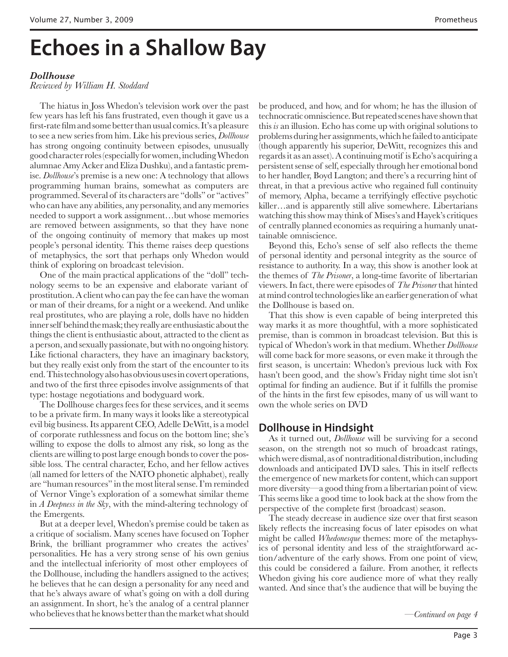## **Echoes in a Shallow Bay**

### *Dollhouse*

### *Reviewed by William H. Stoddard*

The hiatus in Joss Whedon's television work over the past few years has left his fans frustrated, even though it gave us a first-rate film and some better than usual comics. It's a pleasure to see a new series from him. Like his previous series, *Dollhouse* has strong ongoing continuity between episodes, unusually good character roles (especially for women, including Whedon alumnae Amy Acker and Eliza Dushku), and a fantastic premise. *Dollhouse*'s premise is a new one: A technology that allows programming human brains, somewhat as computers are programmed. Several of its characters are "dolls" or "actives" who can have any abilities, any personality, and any memories needed to support a work assignment…but whose memories are removed between assignments, so that they have none of the ongoing continuity of memory that makes up most people's personal identity. This theme raises deep questions of metaphysics, the sort that perhaps only Whedon would think of exploring on broadcast television.

One of the main practical applications of the "doll" technology seems to be an expensive and elaborate variant of prostitution. A client who can pay the fee can have the woman or man of their dreams, for a night or a weekend. And unlike real prostitutes, who are playing a role, dolls have no hidden inner self behind the mask; they really are enthusiastic about the things the client is enthusiastic about, attracted to the client as a person, and sexually passionate, but with no ongoing history. Like fictional characters, they have an imaginary backstory, but they really exist only from the start of the encounter to its end. This technology also has obvious uses in covert operations, and two of the first three episodes involve assignments of that type: hostage negotiations and bodyguard work.

The Dollhouse charges fees for these services, and it seems to be a private firm. In many ways it looks like a stereotypical evil big business. Its apparent CEO, Adelle DeWitt, is a model of corporate ruthlessness and focus on the bottom line; she's willing to expose the dolls to almost any risk, so long as the clients are willing to post large enough bonds to cover the possible loss. The central character, Echo, and her fellow actives (all named for letters of the NATO phonetic alphabet), really are "human resources" in the most literal sense. I'm reminded of Vernor Vinge's exploration of a somewhat similar theme in *A Deepness in the Sky*, with the mind-altering technology of the Emergents.

But at a deeper level, Whedon's premise could be taken as a critique of socialism. Many scenes have focused on Topher Brink, the brilliant programmer who creates the actives' personalities. He has a very strong sense of his own genius and the intellectual inferiority of most other employees of the Dollhouse, including the handlers assigned to the actives; he believes that he can design a personality for any need and that he's always aware of what's going on with a doll during an assignment. In short, he's the analog of a central planner who believes that he knows better than the market what should

be produced, and how, and for whom; he has the illusion of technocratic omniscience. But repeated scenes have shown that this *is* an illusion. Echo has come up with original solutions to problems during her assignments, which he failed to anticipate (though apparently his superior, DeWitt, recognizes this and regards it as an asset). A continuing motif is Echo's acquiring a persistent sense of self, especially through her emotional bond to her handler, Boyd Langton; and there's a recurring hint of threat, in that a previous active who regained full continuity of memory, Alpha, became a terrifyingly effective psychotic killer…and is apparently still alive somewhere. Libertarians watching this show may think of Mises's and Hayek's critiques of centrally planned economies as requiring a humanly unattainable omniscience.

Beyond this, Echo's sense of self also reflects the theme of personal identity and personal integrity as the source of resistance to authority. In a way, this show is another look at the themes of *The Prisoner*, a long-time favorite of libertarian viewers. In fact, there were episodes of *The Prisoner* that hinted at mind control technologies like an earlier generation of what the Dollhouse is based on.

That this show is even capable of being interpreted this way marks it as more thoughtful, with a more sophisticated premise, than is common in broadcast television. But this is typical of Whedon's work in that medium. Whether *Dollhouse* will come back for more seasons, or even make it through the first season, is uncertain: Whedon's previous luck with Fox hasn't been good, and the show's Friday night time slot isn't optimal for finding an audience. But if it fulfills the promise of the hints in the first few episodes, many of us will want to own the whole series on DVD

### **Dollhouse in Hindsight**

As it turned out, *Dollhouse* will be surviving for a second season, on the strength not so much of broadcast ratings, which were dismal, as of nontraditional distribution, including downloads and anticipated DVD sales. This in itself reflects the emergence of new markets for content, which can support more diversity—a good thing from a libertarian point of view. This seems like a good time to look back at the show from the perspective of the complete first (broadcast) season.

The steady decrease in audience size over that first season likely reflects the increasing focus of later episodes on what might be called *Whedonesque* themes: more of the metaphysics of personal identity and less of the straightforward action/adventure of the early shows. From one point of view, this could be considered a failure. From another, it reflects Whedon giving his core audience more of what they really wanted. And since that's the audience that will be buying the

*—Continued on page 4*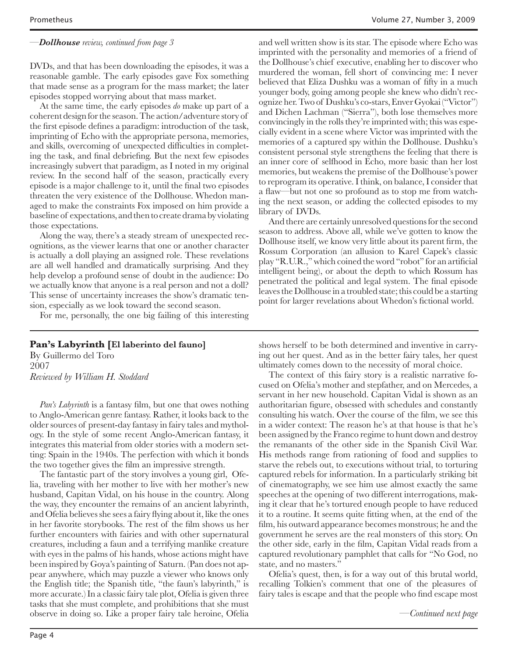#### *—Dollhouse review, continued from page 3*

DVDs, and that has been downloading the episodes, it was a reasonable gamble. The early episodes gave Fox something that made sense as a program for the mass market; the later episodes stopped worrying about that mass market.

At the same time, the early episodes *do* make up part of a coherent design for the season. The action/adventure story of the first episode defines a paradigm: introduction of the task, imprinting of Echo with the appropriate persona, memories, and skills, overcoming of unexpected difficulties in completing the task, and final debriefing. But the next few episodes increasingly subvert that paradigm, as I noted in my original review. In the second half of the season, practically every episode is a major challenge to it, until the final two episodes threaten the very existence of the Dollhouse. Whedon managed to make the constraints Fox imposed on him provide a baseline of expectations, and then to create drama by violating those expectations.

Along the way, there's a steady stream of unexpected recognitions, as the viewer learns that one or another character is actually a doll playing an assigned role. These revelations are all well handled and dramatically surprising. And they help develop a profound sense of doubt in the audience: Do we actually know that anyone is a real person and not a doll? This sense of uncertainty increases the show's dramatic tension, especially as we look toward the second season.

For me, personally, the one big failing of this interesting

### **Pan's Labyrinth [El laberinto del fauno]**

By Guillermo del Toro 2007 *Reviewed by William H. Stoddard*

*Pan's Labyrinth* is a fantasy film, but one that owes nothing to Anglo-American genre fantasy. Rather, it looks back to the older sources of present-day fantasy in fairy tales and mythology. In the style of some recent Anglo-American fantasy, it integrates this material from older stories with a modern setting: Spain in the 1940s. The perfection with which it bonds the two together gives the film an impressive strength.

The fantastic part of the story involves a young girl, Ofelia, traveling with her mother to live with her mother's new husband, Capitan Vidal, on his house in the country. Along the way, they encounter the remains of an ancient labyrinth, and Ofelia believes she sees a fairy flying about it, like the ones in her favorite storybooks. The rest of the film shows us her further encounters with fairies and with other supernatural creatures, including a faun and a terrifying manlike creature with eyes in the palms of his hands, whose actions might have been inspired by Goya's painting of Saturn. (Pan does not appear anywhere, which may puzzle a viewer who knows only the English title; the Spanish title, "the faun's labyrinth," is more accurate.) In a classic fairy tale plot, Ofelia is given three tasks that she must complete, and prohibitions that she must observe in doing so. Like a proper fairy tale heroine, Ofelia

and well written show is its star. The episode where Echo was imprinted with the personality and memories of a friend of the Dollhouse's chief executive, enabling her to discover who murdered the woman, fell short of convincing me: I never believed that Eliza Dushku was a woman of fifty in a much younger body, going among people she knew who didn't recognize her. Two of Dushku's co-stars, Enver Gyokai ("Victor") and Dichen Lachman ("Sierra"), both lose themselves more convincingly in the rolls they're imprinted with; this was especially evident in a scene where Victor was imprinted with the memories of a captured spy within the Dollhouse. Dushku's consistent personal style strengthens the feeling that there is an inner core of selfhood in Echo, more basic than her lost memories, but weakens the premise of the Dollhouse's power to reprogram its operative. I think, on balance, I consider that a flaw—but not one so profound as to stop me from watching the next season, or adding the collected episodes to my library of DVDs.

And there are certainly unresolved questions for the second season to address. Above all, while we've gotten to know the Dollhouse itself, we know very little about its parent firm, the Rossum Corporation (an allusion to Karel Capek's classic play "R.U.R.," which coined the word "robot" for an artificial intelligent being), or about the depth to which Rossum has penetrated the political and legal system. The final episode leaves the Dollhouse in a troubled state; this could be a starting point for larger revelations about Whedon's fictional world.

shows herself to be both determined and inventive in carrying out her quest. And as in the better fairy tales, her quest ultimately comes down to the necessity of moral choice.

The context of this fairy story is a realistic narrative focused on Ofelia's mother and stepfather, and on Mercedes, a servant in her new household. Capitan Vidal is shown as an authoritarian figure, obsessed with schedules and constantly consulting his watch. Over the course of the film, we see this in a wider context: The reason he's at that house is that he's been assigned by the Franco regime to hunt down and destroy the remanants of the other side in the Spanish Civil War. His methods range from rationing of food and supplies to starve the rebels out, to executions without trial, to torturing captured rebels for information. In a particularly striking bit of cinematography, we see him use almost exactly the same speeches at the opening of two different interrogations, making it clear that he's tortured enough people to have reduced it to a routine. It seems quite fitting when, at the end of the film, his outward appearance becomes monstrous; he and the government he serves are the real monsters of this story. On the other side, early in the film, Capitan Vidal reads from a captured revolutionary pamphlet that calls for "No God, no state, and no masters.'

Ofelia's quest, then, is for a way out of this brutal world, recalling Tolkien's comment that one of the pleasures of fairy tales is escape and that the people who find escape most

*—Continued next page*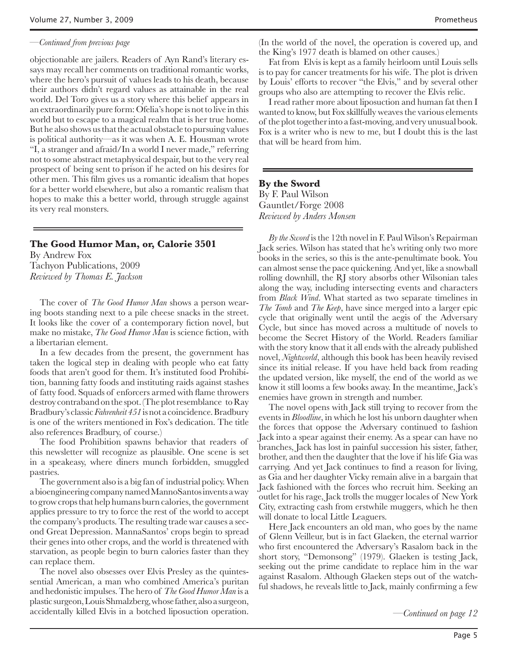#### *—Continued from previous page*

objectionable are jailers. Readers of Ayn Rand's literary essays may recall her comments on traditional romantic works, where the hero's pursuit of values leads to his death, because their authors didn't regard values as attainable in the real world. Del Toro gives us a story where this belief appears in an extraordinarily pure form: Ofelia's hope is not to live in this world but to escape to a magical realm that is her true home. But he also shows us that the actual obstacle to pursuing values is political authority—as it was when A. E. Housman wrote "I, a stranger and afraid/In a world I never made," referring not to some abstract metaphysical despair, but to the very real prospect of being sent to prison if he acted on his desires for other men. This film gives us a romantic idealism that hopes for a better world elsewhere, but also a romantic realism that hopes to make this a better world, through struggle against its very real monsters.

#### **The Good Humor Man, or, Calorie 3501**

By Andrew Fox Tachyon Publications, 2009 *Reviewed by Thomas E. Jackson*

The cover of *The Good Humor Man* shows a person wearing boots standing next to a pile cheese snacks in the street. It looks like the cover of a contemporary fiction novel, but make no mistake, *The Good Humor Man* is science fiction, with a libertarian element.

In a few decades from the present, the government has taken the logical step in dealing with people who eat fatty foods that aren't good for them. It's instituted food Prohibition, banning fatty foods and instituting raids against stashes of fatty food. Squads of enforcers armed with flame throwers destroy contraband on the spot. (The plot resemblance to Ray Bradbury's classic *Fahrenheit 451* is not a coincidence. Bradbury is one of the writers mentioned in Fox's dedication. The title also references Bradbury, of course.)

The food Prohibition spawns behavior that readers of this newsletter will recognize as plausible. One scene is set in a speakeasy, where diners munch forbidden, smuggled pastries.

The government also is a big fan of industrial policy. When a bioengineering company named MannoSantos invents a way to grow crops that help humans burn calories, the government applies pressure to try to force the rest of the world to accept the company's products. The resulting trade war causes a second Great Depression. MannaSantos' crops begin to spread their genes into other crops, and the world is threatened with starvation, as people begin to burn calories faster than they can replace them.

The novel also obsesses over Elvis Presley as the quintessential American, a man who combined America's puritan and hedonistic impulses. The hero of *The Good Humor Man* is a plastic surgeon, Louis Shmalzberg, whose father, also a surgeon, accidentally killed Elvis in a botched liposuction operation. (In the world of the novel, the operation is covered up, and the King's 1977 death is blamed on other causes.)

Fat from Elvis is kept as a family heirloom until Louis sells is to pay for cancer treatments for his wife. The plot is driven by Louis' efforts to recover "the Elvis," and by several other groups who also are attempting to recover the Elvis relic.

I read rather more about liposuction and human fat then I wanted to know, but Fox skillfully weaves the various elements of the plot together into a fast-moving, and very unusual book. Fox is a writer who is new to me, but I doubt this is the last that will be heard from him.

#### **By the Sword** By F. Paul Wilson Gauntlet/Forge 2008 *Reviewed by Anders Monsen*

*By the Sword* is the 12th novel in F. Paul Wilson's Repairman Jack series. Wilson has stated that he's writing only two more books in the series, so this is the ante-penultimate book. You can almost sense the pace quickening. And yet, like a snowball rolling downhill, the RJ story absorbs other Wilsonian tales along the way, including intersecting events and characters from *Black Wind*. What started as two separate timelines in *The Tomb* and *The Keep*, have since merged into a larger epic cycle that originally went until the aegis of the Adversary Cycle, but since has moved across a multitude of novels to become the Secret History of the World. Readers familiar with the story know that it all ends with the already published novel, *Nightworld*, although this book has been heavily revised since its initial release. If you have held back from reading the updated version, like myself, the end of the world as we know it still looms a few books away. In the meantime, Jack's enemies have grown in strength and number.

The novel opens with Jack still trying to recover from the events in *Bloodline*, in which he lost his unborn daughter when the forces that oppose the Adversary continued to fashion Jack into a spear against their enemy. As a spear can have no branches, Jack has lost in painful succession his sister, father, brother, and then the daughter that the love if his life Gia was carrying. And yet Jack continues to find a reason for living, as Gia and her daughter Vicky remain alive in a bargain that Jack fashioned with the forces who recruit him. Seeking an outlet for his rage, Jack trolls the mugger locales of New York City, extracting cash from erstwhile muggers, which he then will donate to local Little Leaguers.

Here Jack encounters an old man, who goes by the name of Glenn Veilleur, but is in fact Glaeken, the eternal warrior who first encountered the Adversary's Rasalom back in the short story, "Demonsong" (1979). Glaeken is testing Jack, seeking out the prime candidate to replace him in the war against Rasalom. Although Glaeken steps out of the watchful shadows, he reveals little to Jack, mainly confirming a few

*—Continued on page 12*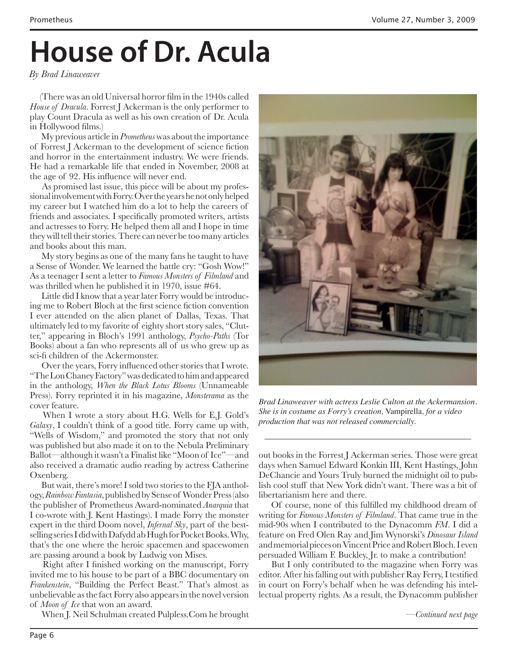# **House of Dr. Acula**

*By Brad Linaweaver*

(There was an old Universal horror film in the 1940s called *House of Dracula*. Forrest J Ackerman is the only performer to play Count Dracula as well as his own creation of Dr. Acula in Hollywood films.)

 My previous article in *Prometheus* was about the importance of Forrest J Ackerman to the development of science fiction and horror in the entertainment industry. We were friends. He had a remarkable life that ended in November, 2008 at the age of 92. His influence will never end.

 As promised last issue, this piece will be about my professional involvement with Forry. Over the years he not only helped my career but I watched him do a lot to help the careers of friends and associates. I specifically promoted writers, artists and actresses to Forry. He helped them all and I hope in time they will tell their stories. There can never be too many articles and books about this man.

 My story begins as one of the many fans he taught to have a Sense of Wonder. We learned the battle cry: "Gosh Wow!" As a teenager I sent a letter to *Famous Monsters of Filmland* and was thrilled when he published it in 1970, issue #64.

 Little did I know that a year later Forry would be introducing me to Robert Bloch at the first science fiction convention I ever attended on the alien planet of Dallas, Texas. That ultimately led to my favorite of eighty short story sales, "Clutter," appearing in Bloch's 1991 anthology, *Psycho-Paths* (Tor Books) about a fan who represents all of us who grew up as sci-fi children of the Ackermonster.

 Over the years, Forry influenced other stories that I wrote. "The Lon Chaney Factory" was dedicated to him and appeared in the anthology, *When the Black Lotus Blooms* (Unnameable Press). Forry reprinted it in his magazine, *Monsterama* as the cover feature.

 When I wrote a story about H.G. Wells for E.J. Gold's *Galaxy*, I couldn't think of a good title. Forry came up with, "Wells of Wisdom," and promoted the story that not only was published but also made it on to the Nebula Preliminary Ballot—although it wasn't a Finalist like "Moon of Ice"—and also received a dramatic audio reading by actress Catherine Oxenberg.

 But wait, there's more! I sold two stories to the FJA anthology, *Rainbow Fantasia*, published by Sense of Wonder Press (also the publisher of Prometheus Award-nominated *Anarquia* that I co-wrote with J. Kent Hastings). I made Forry the monster expert in the third Doom novel, *Infernal Sky*, part of the bestselling series I did with Dafydd ab Hugh for Pocket Books. Why, that's the one where the heroic spacemen and spacewomen are passing around a book by Ludwig von Mises.

 Right after I finished working on the manuscript, Forry invited me to his house to be part of a BBC documentary on *Frankenstein*, "Building the Perfect Beast." That's almost as unbelievable as the fact Forry also appears in the novel version of *Moon of Ice* that won an award.

When J. Neil Schulman created Pulpless.Com he brought



*Brad Linaweaver with actress Leslie Culton at the Ackermansion. She is in costume as Forry's creation,* Vampirella*, for a video production that was not released commercially.*

out books in the Forrest J Ackerman series. Those were great days when Samuel Edward Konkin III, Kent Hastings, John DeChancie and Yours Truly burned the midnight oil to publish cool stuff that New York didn't want. There was a bit of libertarianism here and there.

 Of course, none of this fulfilled my childhood dream of writing for *Famous Monsters of Filmland*. That came true in the mid-90s when I contributed to the Dynacomm *FM*. I did a feature on Fred Olen Ray and Jim Wynorski's *Dinosaur Island* and memorial pieces on Vincent Price and Robert Bloch. I even persuaded William F. Buckley, Jr. to make a contribution!

 But I only contributed to the magazine when Forry was editor. After his falling out with publisher Ray Ferry, I testified in court on Forry's behalf when he was defending his intellectual property rights. As a result, the Dynacomm publisher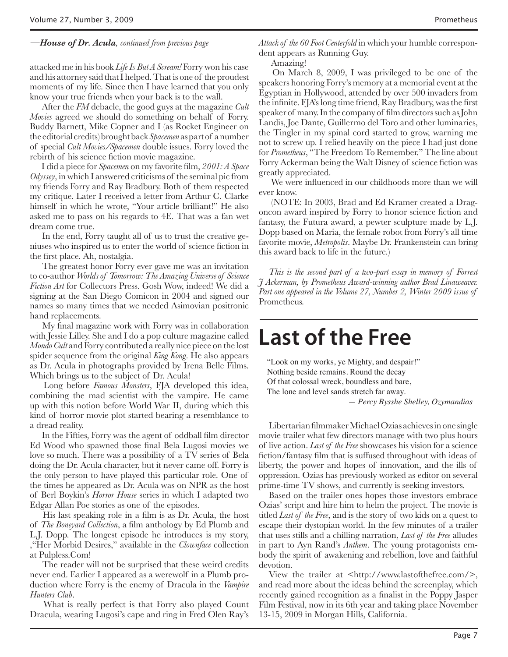*—House of Dr. Acula, continued from previous page*

attacked me in his book *Life Is But A Scream!* Forry won his case and his attorney said that I helped. That is one of the proudest moments of my life. Since then I have learned that you only know your true friends when your back is to the wall.

 After the *FM* debacle, the good guys at the magazine *Cult Movies* agreed we should do something on behalf of Forry. Buddy Barnett, Mike Copner and I (as Rocket Engineer on the editorial credits) brought back *Spacemen* as part of a number of special *Cult Movies/Spacemen* double issues. Forry loved the rebirth of his science fiction movie magazine.

 I did a piece for *Spacemen* on my favorite film, *2001: A Space Odyssey*, in which I answered criticisms of the seminal pic from my friends Forry and Ray Bradbury. Both of them respected my critique. Later I received a letter from Arthur C. Clarke himself in which he wrote, "Your article brilliant!" He also asked me to pass on his regards to 4E. That was a fan wet dream come true.

 In the end, Forry taught all of us to trust the creative geniuses who inspired us to enter the world of science fiction in the first place. Ah, nostalgia.

 The greatest honor Forry ever gave me was an invitation to co-author *Worlds of Tomorrow: The Amazing Universe of Science Fiction Art* for Collectors Press. Gosh Wow, indeed! We did a signing at the San Diego Comicon in 2004 and signed our names so many times that we needed Asimovian positronic hand replacements.

 My final magazine work with Forry was in collaboration with Jessie Lilley. She and I do a pop culture magazine called *Mondo Cult* and Forry contributed a really nice piece on the lost spider sequence from the original *King Kong*. He also appears as Dr. Acula in photographs provided by Irena Belle Films. Which brings us to the subject of Dr. Acula!

 Long before *Famous Monsters*, FJA developed this idea, combining the mad scientist with the vampire. He came up with this notion before World War II, during which this kind of horror movie plot started bearing a resemblance to a dread reality.

 In the Fifties, Forry was the agent of oddball film director Ed Wood who spawned those final Bela Lugosi movies we love so much. There was a possibility of a TV series of Bela doing the Dr. Acula character, but it never came off. Forry is the only person to have played this particular role. One of the times he appeared as Dr. Acula was on NPR as the host of Berl Boykin's *Horror House* series in which I adapted two Edgar Allan Poe stories as one of the episodes.

 His last speaking role in a film is as Dr. Acula, the host of *The Boneyard Collection*, a film anthology by Ed Plumb and L.J. Dopp. The longest episode he introduces is my story, '"Her Morbid Desires," available in the *Clownface* collection at Pulpless.Com!

 The reader will not be surprised that these weird credits never end. Earlier I appeared as a werewolf in a Plumb production where Forry is the enemy of Dracula in the *Vampire Hunters Club*.

 What is really perfect is that Forry also played Count Dracula, wearing Lugosi's cape and ring in Fred Olen Ray's *Attack of the 60 Foot Centerfold* in which your humble correspondent appears as Running Guy.

Amazing!

 On March 8, 2009, I was privileged to be one of the speakers honoring Forry's memory at a memorial event at the Egyptian in Hollywood, attended by over 500 invaders from the infinite. FJA's long time friend, Ray Bradbury, was the first speaker of many. In the company of film directors such as John Landis, Joe Dante, Guillermo del Toro and other luminaries, the Tingler in my spinal cord started to grow, warning me not to screw up. I relied heavily on the piece I had just done for *Prometheus*, "The Freedom To Remember." The line about Forry Ackerman being the Walt Disney of science fiction was greatly appreciated.

 We were influenced in our childhoods more than we will ever know.

 (NOTE: In 2003, Brad and Ed Kramer created a Dragoncon award inspired by Forry to honor science fiction and fantasy, the Futura award, a pewter sculpture made by L.J. Dopp based on Maria, the female robot from Forry's all time favorite movie, *Metropolis*. Maybe Dr. Frankenstein can bring this award back to life in the future.)

*This is the second part of a two-part essay in memory of Forrest J Ackerman, by Prometheus Award-winning author Brad Linaweaver.*  Part one appeared in the Volume 27, Number 2, Winter 2009 issue of Prometheus*.*

### **Last of the Free**

"Look on my works, ye Mighty, and despair!" Nothing beside remains. Round the decay Of that colossal wreck, boundless and bare, The lone and level sands stretch far away.

 *— Percy Bysshe Shelley, Ozymandias*

Libertarian filmmaker Michael Ozias achieves in one single movie trailer what few directors manage with two plus hours of live action. *Last of the Free* showcases his vision for a science fiction/fantasy film that is suffused throughout with ideas of liberty, the power and hopes of innovation, and the ills of oppression. Ozias has previously worked as editor on several prime-time TV shows, and currently is seeking investors.

Based on the trailer ones hopes those investors embrace Ozias' script and hire him to helm the project. The movie is titled *Last of the Free*, and is the story of two kids on a quest to escape their dystopian world. In the few minutes of a trailer that uses stills and a chilling narration, *Last of the Free* alludes in part to Ayn Rand's *Anthem*. The young protagonists embody the spirit of awakening and rebellion, love and faithful devotion.

View the trailer at <http://www.lastofthefree.com/>, and read more about the ideas behind the screenplay, which recently gained recognition as a finalist in the Poppy Jasper Film Festival, now in its 6th year and taking place November 13-15, 2009 in Morgan Hills, California.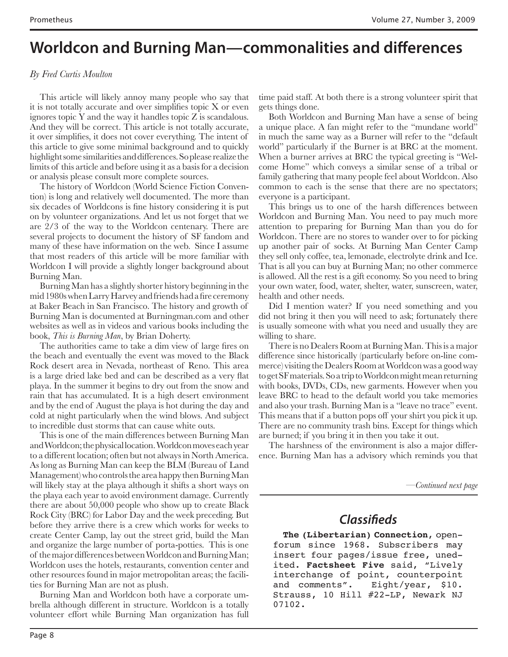### **Worldcon and Burning Man—commonalities and differences**

### *By Fred Curtis Moulton*

This article will likely annoy many people who say that it is not totally accurate and over simplifies topic X or even ignores topic Y and the way it handles topic Z is scandalous. And they will be correct. This article is not totally accurate, it over simplifies, it does not cover everything. The intent of this article to give some minimal background and to quickly highlight some similarities and differences. So please realize the limits of this article and before using it as a basis for a decision or analysis please consult more complete sources.

The history of Worldcon (World Science Fiction Convention) is long and relatively well documented. The more than six decades of Worldcons is fine history considering it is put on by volunteer organizations. And let us not forget that we are 2/3 of the way to the Worldcon centenary. There are several projects to document the history of SF fandom and many of these have information on the web. Since I assume that most readers of this article will be more familiar with Worldcon I will provide a slightly longer background about Burning Man.

Burning Man has a slightly shorter history beginning in the mid 1980s when Larry Harvey and friends had a fire ceremony at Baker Beach in San Francisco. The history and growth of Burning Man is documented at Burningman.com and other websites as well as in videos and various books including the book, *This is Burning Man*, by Brian Doherty.

The authorities came to take a dim view of large fires on the beach and eventually the event was moved to the Black Rock desert area in Nevada, northeast of Reno. This area is a large dried lake bed and can be described as a very flat playa. In the summer it begins to dry out from the snow and rain that has accumulated. It is a high desert environment and by the end of August the playa is hot during the day and cold at night particularly when the wind blows. And subject to incredible dust storms that can cause white outs.

This is one of the main differences between Burning Man and Worldcon; the physical location. Worldcon moves each year to a different location; often but not always in North America. As long as Burning Man can keep the BLM (Bureau of Land Management) who controls the area happy then Burning Man will likely stay at the playa although it shifts a short ways on the playa each year to avoid environment damage. Currently there are about 50,000 people who show up to create Black Rock City (BRC) for Labor Day and the week preceding. But before they arrive there is a crew which works for weeks to create Center Camp, lay out the street grid, build the Man and organize the large number of porta-potties. This is one of the major differences between Worldcon and Burning Man; Worldcon uses the hotels, restaurants, convention center and other resources found in major metropolitan areas; the facilities for Burning Man are not as plush.

Burning Man and Worldcon both have a corporate umbrella although different in structure. Worldcon is a totally volunteer effort while Burning Man organization has full

time paid staff. At both there is a strong volunteer spirit that gets things done.

Both Worldcon and Burning Man have a sense of being a unique place. A fan might refer to the "mundane world" in much the same way as a Burner will refer to the "default world" particularly if the Burner is at BRC at the moment. When a burner arrives at BRC the typical greeting is "Welcome Home" which conveys a similar sense of a tribal or family gathering that many people feel about Worldcon. Also common to each is the sense that there are no spectators; everyone is a participant.

This brings us to one of the harsh differences between Worldcon and Burning Man. You need to pay much more attention to preparing for Burning Man than you do for Worldcon. There are no stores to wander over to for picking up another pair of socks. At Burning Man Center Camp they sell only coffee, tea, lemonade, electrolyte drink and Ice. That is all you can buy at Burning Man; no other commerce is allowed. All the rest is a gift economy. So you need to bring your own water, food, water, shelter, water, sunscreen, water, health and other needs.

Did I mention water? If you need something and you did not bring it then you will need to ask; fortunately there is usually someone with what you need and usually they are willing to share.

There is no Dealers Room at Burning Man. This is a major difference since historically (particularly before on-line commerce) visiting the Dealers Room at Worldcon was a good way to get SF materials. So a trip to Worldcon might mean returning with books, DVDs, CDs, new garments. However when you leave BRC to head to the default world you take memories and also your trash. Burning Man is a "leave no trace" event. This means that if a button pops off your shirt you pick it up. There are no community trash bins. Except for things which are burned; if you bring it in then you take it out.

The harshness of the environment is also a major difference. Burning Man has a advisory which reminds you that

*—Continued next page*

### **Classifieds**

**The (Libertarian) Connection**, openforum since 1968. Subscribers may insert four pages/issue free, unedited. **Factsheet Five** said, "Lively interchange of point, counterpoint and comments". Eight/year, \$10. Strauss, 10 Hill #22-LP, Newark NJ 07102.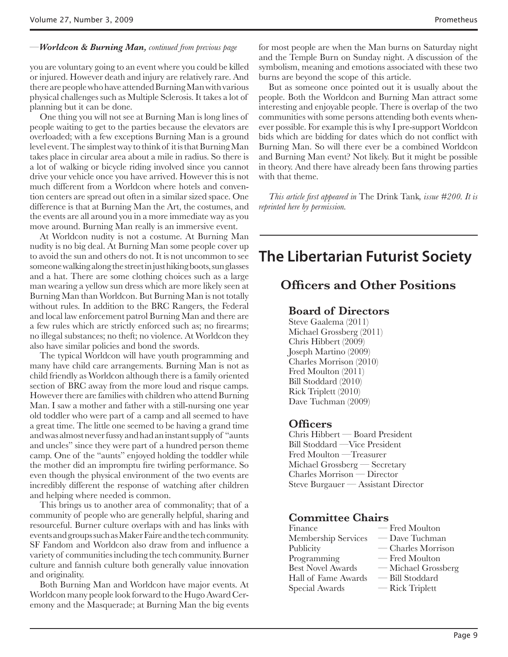### *—Worldcon & Burning Man, continued from previous page*

you are voluntary going to an event where you could be killed or injured. However death and injury are relatively rare. And there are people who have attended Burning Man with various physical challenges such as Multiple Sclerosis. It takes a lot of planning but it can be done.

One thing you will not see at Burning Man is long lines of people waiting to get to the parties because the elevators are overloaded; with a few exceptions Burning Man is a ground level event. The simplest way to think of it is that Burning Man takes place in circular area about a mile in radius. So there is a lot of walking or bicycle riding involved since you cannot drive your vehicle once you have arrived. However this is not much different from a Worldcon where hotels and convention centers are spread out often in a similar sized space. One difference is that at Burning Man the Art, the costumes, and the events are all around you in a more immediate way as you move around. Burning Man really is an immersive event.

At Worldcon nudity is not a costume. At Burning Man nudity is no big deal. At Burning Man some people cover up to avoid the sun and others do not. It is not uncommon to see someone walking along the street in just hiking boots, sun glasses and a hat. There are some clothing choices such as a large man wearing a yellow sun dress which are more likely seen at Burning Man than Worldcon. But Burning Man is not totally without rules. In addition to the BRC Rangers, the Federal and local law enforcement patrol Burning Man and there are a few rules which are strictly enforced such as; no firearms; no illegal substances; no theft; no violence. At Worldcon they also have similar policies and bond the swords.

The typical Worldcon will have youth programming and many have child care arrangements. Burning Man is not as child friendly as Worldcon although there is a family oriented section of BRC away from the more loud and risque camps. However there are families with children who attend Burning Man. I saw a mother and father with a still-nursing one year old toddler who were part of a camp and all seemed to have a great time. The little one seemed to be having a grand time and was almost never fussy and had an instant supply of "aunts and uncles" since they were part of a hundred person theme camp. One of the "aunts" enjoyed holding the toddler while the mother did an impromptu fire twirling performance. So even though the physical environment of the two events are incredibly different the response of watching after children and helping where needed is common.

This brings us to another area of commonality; that of a community of people who are generally helpful, sharing and resourceful. Burner culture overlaps with and has links with events and groups such as Maker Faire and the tech community. SF Fandom and Worldcon also draw from and influence a variety of communities including the tech community. Burner culture and fannish culture both generally value innovation and originality.

Both Burning Man and Worldcon have major events. At Worldcon many people look forward to the Hugo Award Ceremony and the Masquerade; at Burning Man the big events for most people are when the Man burns on Saturday night and the Temple Burn on Sunday night. A discussion of the symbolism, meaning and emotions associated with these two burns are beyond the scope of this article.

But as someone once pointed out it is usually about the people. Both the Worldcon and Burning Man attract some interesting and enjoyable people. There is overlap of the two communities with some persons attending both events whenever possible. For example this is why I pre-support Worldcon bids which are bidding for dates which do not conflict with Burning Man. So will there ever be a combined Worldcon and Burning Man event? Not likely. But it might be possible in theory. And there have already been fans throwing parties with that theme.

*This article first appeared in* The Drink Tank*, issue #200. It is reprinted here by permission.*

### **The Libertarian Futurist Society**

### **Officers and Other Positions**

### **Board of Directors**

Steve Gaalema (2011) Michael Grossberg (2011) Chris Hibbert (2009) Joseph Martino (2009) Charles Morrison (2010) Fred Moulton (2011) Bill Stoddard (2010) Rick Triplett (2010) Dave Tuchman (2009)

### **Officers**

Chris Hibbert — Board President Bill Stoddard —Vice President Fred Moulton —Treasurer Michael Grossberg — Secretary Charles Morrison — Director Steve Burgauer — Assistant Director

### **Committee Chairs**

| Finance                  | — Fred Moulton      |
|--------------------------|---------------------|
| Membership Services      | — Dave Tuchman      |
| Publicity                | — Charles Morrison  |
| Programming              | — Fred Moulton      |
| <b>Best Novel Awards</b> | — Michael Grossberg |
| Hall of Fame Awards      | - Bill Stoddard     |
| Special Awards           | — Rick Triplett     |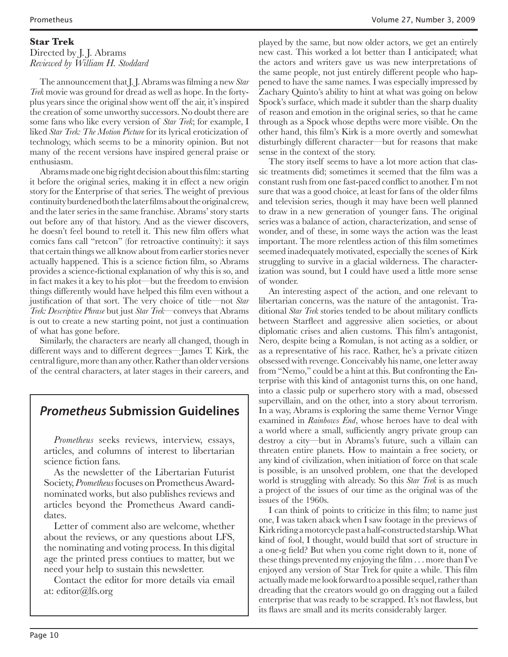#### **Star Trek** Directed by J. J. Abrams *Reviewed by William H. Stoddard*

The announcement that J. J. Abrams was filming a new *Star Trek* movie was ground for dread as well as hope. In the fortyplus years since the original show went off the air, it's inspired the creation of some unworthy successors. No doubt there are some fans who like every version of *Star Trek*; for example, I liked *Star Trek: The Motion Picture* for its lyrical eroticization of technology, which seems to be a minority opinion. But not many of the recent versions have inspired general praise or enthusiasm.

Abrams made one big right decision about this film: starting it before the original series, making it in effect a new origin story for the Enterprise of that series. The weight of previous continuity burdened both the later films about the original crew, and the later series in the same franchise. Abrams' story starts out before any of that history. And as the viewer discovers, he doesn't feel bound to retell it. This new film offers what comics fans call "retcon" (for retroactive continuity): it says that certain things we all know about from earlier stories never actually happened. This is a science fiction film, so Abrams provides a science-fictional explanation of why this is so, and in fact makes it a key to his plot—but the freedom to envision things differently would have helped this film even without a justification of that sort. The very choice of title—not *Star Trek: Descriptive Phrase* but just *Star Trek*—conveys that Abrams is out to create a new starting point, not just a continuation of what has gone before.

Similarly, the characters are nearly all changed, though in different ways and to different degrees—James T. Kirk, the central figure, more than any other. Rather than older versions of the central characters, at later stages in their careers, and

### **Prometheus Submission Guidelines**

*Prometheus* seeks reviews, interview, essays, articles, and columns of interest to libertarian science fiction fans.

As the newsletter of the Libertarian Futurist Society, *Prometheus* focuses on Prometheus Awardnominated works, but also publishes reviews and articles beyond the Prometheus Award candidates.

Letter of comment also are welcome, whether about the reviews, or any questions about LFS, the nominating and voting process. In this digital age the printed press contiues to matter, but we need your help to sustain this newsletter.

Contact the editor for more details via email at: editor@lfs.org

played by the same, but now older actors, we get an entirely new cast. This worked a lot better than I anticipated; what the actors and writers gave us was new interpretations of the same people, not just entirely different people who happened to have the same names. I was especially impressed by Zachary Quinto's ability to hint at what was going on below Spock's surface, which made it subtler than the sharp duality of reason and emotion in the original series, so that he came through as a Spock whose depths were more visible. On the other hand, this film's Kirk is a more overtly and somewhat disturbingly different character—but for reasons that make sense in the context of the story.

The story itself seems to have a lot more action that classic treatments did; sometimes it seemed that the film was a constant rush from one fast-paced conflict to another. I'm not sure that was a good choice, at least for fans of the older films and television series, though it may have been well planned to draw in a new generation of younger fans. The original series was a balance of action, characterization, and sense of wonder, and of these, in some ways the action was the least important. The more relentless action of this film sometimes seemed inadequately motivated, especially the scenes of Kirk struggling to survive in a glacial wilderness. The characterization was sound, but I could have used a little more sense of wonder.

An interesting aspect of the action, and one relevant to libertarian concerns, was the nature of the antagonist. Traditional *Star Trek* stories tended to be about military conflicts between Starfleet and aggressive alien societies, or about diplomatic crises and alien customs. This film's antagonist, Nero, despite being a Romulan, is not acting as a soldier, or as a representative of his race. Rather, he's a private citizen obsessed with revenge. Conceivably his name, one letter away from "Nemo," could be a hint at this. But confronting the Enterprise with this kind of antagonist turns this, on one hand, into a classic pulp or superhero story with a mad, obsessed supervillain, and on the other, into a story about terrorism. In a way, Abrams is exploring the same theme Vernor Vinge examined in *Rainbows End*, whose heroes have to deal with a world where a small, sufficiently angry private group can destroy a city—but in Abrams's future, such a villain can threaten entire planets. How to maintain a free society, or any kind of civilization, when initiation of force on that scale is possible, is an unsolved problem, one that the developed world is struggling with already. So this *Star Trek* is as much a project of the issues of our time as the original was of the issues of the 1960s.

I can think of points to criticize in this film; to name just one, I was taken aback when I saw footage in the previews of Kirk riding a motorcycle past a half-constructed starship. What kind of fool, I thought, would build that sort of structure in a one-g field? But when you come right down to it, none of these things prevented my enjoying the film . . . more than I've enjoyed any version of Star Trek for quite a while. This film actually made me look forward to a possible sequel, rather than dreading that the creators would go on dragging out a failed enterprise that was ready to be scrapped. It's not flawless, but its flaws are small and its merits considerably larger.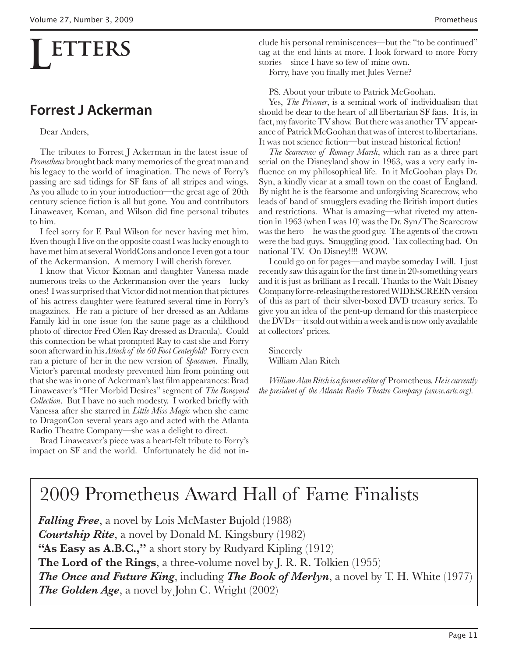## **ETTERS**

### **Forrest J Ackerman**

### Dear Anders,

The tributes to Forrest J Ackerman in the latest issue of *Prometheus* brought back many memories of the great man and his legacy to the world of imagination. The news of Forry's passing are sad tidings for SF fans of all stripes and wings. As you allude to in your introduction—the great age of 20th century science fiction is all but gone. You and contributors Linaweaver, Koman, and Wilson did fine personal tributes to him.

I feel sorry for F. Paul Wilson for never having met him. Even though I live on the opposite coast I was lucky enough to have met him at several WorldCons and once I even got a tour of the Ackermansion. A memory I will cherish forever.

I know that Victor Koman and daughter Vanessa made numerous treks to the Ackermansion over the years—lucky ones! I was surprised that Victor did not mention that pictures of his actress daughter were featured several time in Forry's magazines. He ran a picture of her dressed as an Addams Family kid in one issue (on the same page as a childhood photo of director Fred Olen Ray dressed as Dracula). Could this connection be what prompted Ray to cast she and Forry soon afterward in his *Attack of the 60 Foot Centerfold*? Forry even ran a picture of her in the new version of *Spacemen*. Finally, Victor's parental modesty prevented him from pointing out that she was in one of Ackerman's last film appearances: Brad Linaweaver's "Her Morbid Desires" segment of *The Boneyard Collection*. But I have no such modesty. I worked briefly with Vanessa after she starred in *Little Miss Magic* when she came to DragonCon several years ago and acted with the Atlanta Radio Theatre Company—she was a delight to direct.

Brad Linaweaver's piece was a heart-felt tribute to Forry's impact on SF and the world. Unfortunately he did not include his personal reminiscences—but the "to be continued" tag at the end hints at more. I look forward to more Forry stories—since I have so few of mine own.

Forry, have you finally met Jules Verne?

PS. About your tribute to Patrick McGoohan.

Yes, *The Prisoner*, is a seminal work of individualism that should be dear to the heart of all libertarian SF fans. It is, in fact, my favorite TV show. But there was another TV appearance of Patrick McGoohan that was of interest to libertarians. It was not science fiction—but instead historical fiction!

*The Scarecrow of Romney Marsh*, which ran as a three part serial on the Disneyland show in 1963, was a very early influence on my philosophical life. In it McGoohan plays Dr. Syn, a kindly vicar at a small town on the coast of England. By night he is the fearsome and unforgiving Scarecrow, who leads of band of smugglers evading the British import duties and restrictions. What is amazing—what riveted my attention in 1963 (when I was 10) was the Dr. Syn/The Scarecrow was the hero—he was the good guy. The agents of the crown were the bad guys. Smuggling good. Tax collecting bad. On national TV. On Disney!!!! WOW.

I could go on for pages—and maybe someday I will. I just recently saw this again for the first time in 20-something years and it is just as brilliant as I recall. Thanks to the Walt Disney Company for re-releasing the restored WIDESCREEN version of this as part of their silver-boxed DVD treasury series. To give you an idea of the pent-up demand for this masterpiece the DVDs—it sold out within a week and is now only available at collectors' prices.

Sincerely William Alan Ritch

*William Alan Ritch is a former editor of* Prometheus*. He is currently the president of the Atlanta Radio Theatre Company (www.artc.org).*

### 2009 Prometheus Award Hall of Fame Finalists

*Falling Free*, a novel by Lois McMaster Bujold (1988) *Courtship Rite*, a novel by Donald M. Kingsbury (1982) **"As Easy as A.B.C.,"** a short story by Rudyard Kipling (1912) **The Lord of the Rings**, a three-volume novel by J. R. R. Tolkien (1955) *The Once and Future King*, including *The Book of Merlyn*, a novel by T. H. White (1977) *The Golden Age*, a novel by John C. Wright (2002)